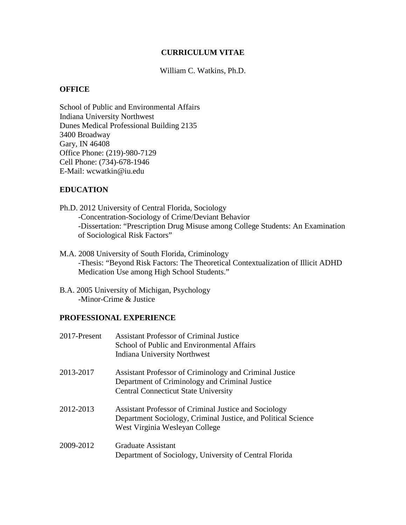#### **CURRICULUM VITAE**

William C. Watkins, Ph.D.

#### **OFFICE**

School of Public and Environmental Affairs Indiana University Northwest Dunes Medical Professional Building 2135 3400 Broadway Gary, IN 46408 Office Phone: (219)-980-7129 Cell Phone: (734)-678-1946 E-Mail: wcwatkin@iu.edu

### **EDUCATION**

- Ph.D. 2012 University of Central Florida, Sociology -Concentration-Sociology of Crime/Deviant Behavior -Dissertation: "Prescription Drug Misuse among College Students: An Examination of Sociological Risk Factors"
- M.A. 2008 University of South Florida, Criminology -Thesis: "Beyond Risk Factors: The Theoretical Contextualization of Illicit ADHD Medication Use among High School Students."
- B.A. 2005 University of Michigan, Psychology -Minor-Crime & Justice

### **PROFESSIONAL EXPERIENCE**

| 2017-Present | <b>Assistant Professor of Criminal Justice</b><br>School of Public and Environmental Affairs<br>Indiana University Northwest                                    |
|--------------|-----------------------------------------------------------------------------------------------------------------------------------------------------------------|
| 2013-2017    | Assistant Professor of Criminology and Criminal Justice<br>Department of Criminology and Criminal Justice<br><b>Central Connecticut State University</b>        |
| 2012-2013    | <b>Assistant Professor of Criminal Justice and Sociology</b><br>Department Sociology, Criminal Justice, and Political Science<br>West Virginia Wesleyan College |
| 2009-2012    | Graduate Assistant<br>Department of Sociology, University of Central Florida                                                                                    |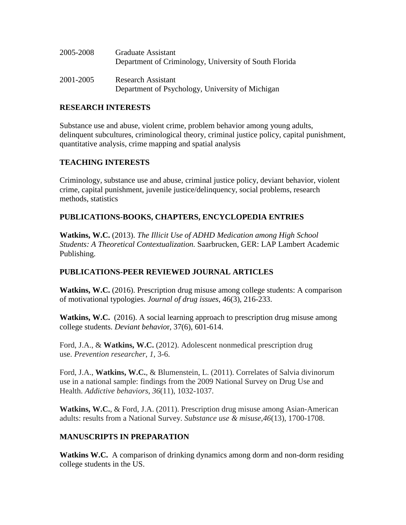| 2005-2008 | Graduate Assistant<br>Department of Criminology, University of South Florida  |
|-----------|-------------------------------------------------------------------------------|
| 2001-2005 | <b>Research Assistant</b><br>Department of Psychology, University of Michigan |

### **RESEARCH INTERESTS**

Substance use and abuse, violent crime, problem behavior among young adults, delinquent subcultures, criminological theory, criminal justice policy, capital punishment, quantitative analysis, crime mapping and spatial analysis

## **TEACHING INTERESTS**

Criminology, substance use and abuse, criminal justice policy, deviant behavior, violent crime, capital punishment, juvenile justice/delinquency, social problems, research methods, statistics

## **PUBLICATIONS-BOOKS, CHAPTERS, ENCYCLOPEDIA ENTRIES**

**Watkins, W.C.** (2013). *The Illicit Use of ADHD Medication among High School Students: A Theoretical Contextualization.* Saarbrucken, GER: LAP Lambert Academic Publishing.

## **PUBLICATIONS-PEER REVIEWED JOURNAL ARTICLES**

**Watkins, W.C.** (2016). Prescription drug misuse among college students: A comparison of motivational typologies. *Journal of drug issues*, 46(3), 216-233.

**Watkins, W.C.** (2016). A social learning approach to prescription drug misuse among college students. *Deviant behavio*r, 37(6), 601-614.

Ford, J.A., & **Watkins, W.C.** (2012). Adolescent nonmedical prescription drug use. *Prevention researcher*, *1*, 3-6.

Ford, J.A., **Watkins, W.C.**, & Blumenstein, L. (2011). Correlates of Salvia divinorum use in a national sample: findings from the 2009 National Survey on Drug Use and Health. *Addictive behaviors*, *36*(11), 1032-1037.

**Watkins, W.C.**, & Ford, J.A. (2011). Prescription drug misuse among Asian-American adults: results from a National Survey. *Substance use & misuse*,*46*(13), 1700-1708.

#### **MANUSCRIPTS IN PREPARATION**

**Watkins W.C.** A comparison of drinking dynamics among dorm and non-dorm residing college students in the US.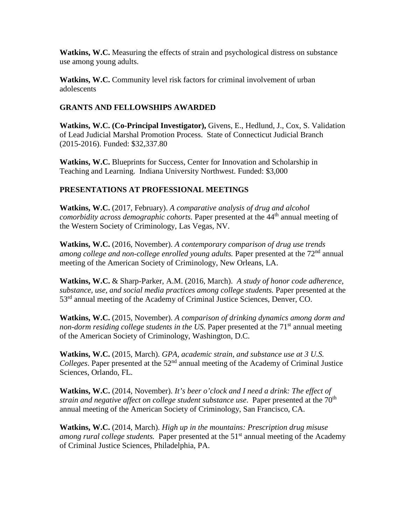**Watkins, W.C.** Measuring the effects of strain and psychological distress on substance use among young adults.

**Watkins, W.C.** Community level risk factors for criminal involvement of urban adolescents

### **GRANTS AND FELLOWSHIPS AWARDED**

**Watkins, W.C. (Co-Principal Investigator),** Givens, E., Hedlund, J., Cox, S. Validation of Lead Judicial Marshal Promotion Process. State of Connecticut Judicial Branch (2015-2016). Funded: \$32,337.80

**Watkins, W.C.** Blueprints for Success, Center for Innovation and Scholarship in Teaching and Learning. Indiana University Northwest. Funded: \$3,000

# **PRESENTATIONS AT PROFESSIONAL MEETINGS**

**Watkins, W.C.** (2017, February). *A comparative analysis of drug and alcohol comorbidity across demographic cohorts.* Paper presented at the 44<sup>th</sup> annual meeting of the Western Society of Criminology, Las Vegas, NV.

**Watkins, W.C.** (2016, November). *A contemporary comparison of drug use trends*  among college and non-college enrolled young adults. Paper presented at the 72<sup>nd</sup> annual meeting of the American Society of Criminology, New Orleans, LA.

**Watkins, W.C.** & Sharp-Parker, A.M. (2016, March). *A study of honor code adherence, substance, use, and social media practices among college students.* Paper presented at the 53<sup>rd</sup> annual meeting of the Academy of Criminal Justice Sciences, Denver, CO.

**Watkins, W.C.** (2015, November). *A comparison of drinking dynamics among dorm and*  non-dorm residing college students in the US. Paper presented at the 71<sup>st</sup> annual meeting of the American Society of Criminology, Washington, D.C.

**Watkins, W.C.** (2015, March). *GPA, academic strain, and substance use at 3 U.S. Colleges*. Paper presented at the 52<sup>nd</sup> annual meeting of the Academy of Criminal Justice Sciences, Orlando, FL.

**Watkins, W.C.** (2014, November). *It's beer o'clock and I need a drink: The effect of strain and negative affect on college student substance use.* Paper presented at the 70<sup>th</sup> annual meeting of the American Society of Criminology, San Francisco, CA.

**Watkins, W.C.** (2014, March). *High up in the mountains: Prescription drug misuse among rural college students.* Paper presented at the 51<sup>st</sup> annual meeting of the Academy of Criminal Justice Sciences, Philadelphia, PA.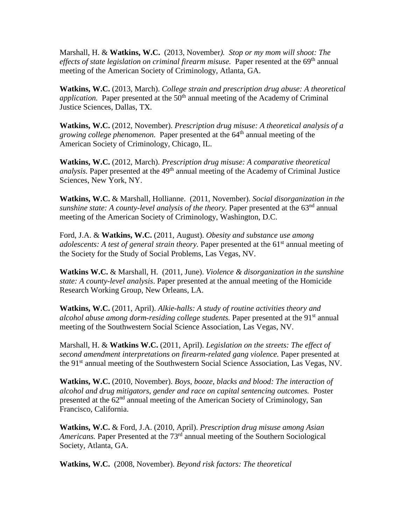Marshall, H. & **Watkins, W.C.** (2013, November*). Stop or my mom will shoot: The effects of state legislation on criminal firearm misuse.* Paper resented at the 69<sup>th</sup> annual meeting of the American Society of Criminology, Atlanta, GA.

**Watkins, W.C.** (2013, March). *College strain and prescription drug abuse: A theoretical application.* Paper presented at the 50<sup>th</sup> annual meeting of the Academy of Criminal Justice Sciences, Dallas, TX.

**Watkins, W.C.** (2012, November). *Prescription drug misuse: A theoretical analysis of a growing college phenomenon.* Paper presented at the 64<sup>th</sup> annual meeting of the American Society of Criminology, Chicago, IL.

**Watkins, W.C.** (2012, March). *Prescription drug misuse: A comparative theoretical analysis.* Paper presented at the 49<sup>th</sup> annual meeting of the Academy of Criminal Justice Sciences, New York, NY.

**Watkins, W.C.** & Marshall, Hollianne. (2011, November). *Social disorganization in the sunshine state: A county-level analysis of the theory.* Paper presented at the 63<sup>nd</sup> annual meeting of the American Society of Criminology, Washington, D.C.

Ford, J.A. & **Watkins, W.C.** (2011, August). *Obesity and substance use among adolescents: A test of general strain theory.* Paper presented at the 61<sup>st</sup> annual meeting of the Society for the Study of Social Problems, Las Vegas, NV.

**Watkins W.C.** & Marshall, H. (2011, June). *Violence & disorganization in the sunshine state: A county-level analysis*. Paper presented at the annual meeting of the Homicide Research Working Group, New Orleans, LA.

**Watkins, W.C.** (2011, April). *Alkie-halls: A study of routine activities theory and alcohol abuse among dorm-residing college students.* Paper presented at the 91<sup>st</sup> annual meeting of the Southwestern Social Science Association, Las Vegas, NV.

Marshall, H. & **Watkins W.C.** (2011, April). *Legislation on the streets: The effect of second amendment interpretations on firearm-related gang violence.* Paper presented at the 91<sup>st</sup> annual meeting of the Southwestern Social Science Association, Las Vegas, NV.

**Watkins, W.C.** (2010, November). *Boys, booze, blacks and blood: The interaction of alcohol and drug mitigators, gender and race on capital sentencing outcomes.* Poster presented at the  $62<sup>nd</sup>$  annual meeting of the American Society of Criminology, San Francisco, California.

**Watkins, W.C.** & Ford, J.A. (2010, April). *Prescription drug misuse among Asian Americans.* Paper Presented at the 73rd annual meeting of the Southern Sociological Society, Atlanta, GA.

**Watkins, W.C.** (2008, November). *Beyond risk factors: The theoretical*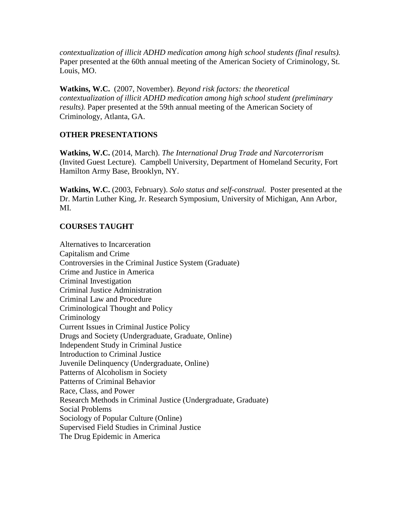*contextualization of illicit ADHD medication among high school students (final results).* Paper presented at the 60th annual meeting of the American Society of Criminology, St. Louis, MO.

**Watkins, W.C.** (2007, November). *Beyond risk factors: the theoretical contextualization of illicit ADHD medication among high school student (preliminary results).* Paper presented at the 59th annual meeting of the American Society of Criminology, Atlanta, GA.

#### **OTHER PRESENTATIONS**

**Watkins, W.C.** (2014, March). *The International Drug Trade and Narcoterrorism*  (Invited Guest Lecture). Campbell University, Department of Homeland Security, Fort Hamilton Army Base, Brooklyn, NY.

**Watkins, W.C.** (2003, February). *Solo status and self-construal.* Poster presented at the Dr. Martin Luther King, Jr. Research Symposium, University of Michigan, Ann Arbor, MI.

#### **COURSES TAUGHT**

Alternatives to Incarceration Capitalism and Crime Controversies in the Criminal Justice System (Graduate) Crime and Justice in America Criminal Investigation Criminal Justice Administration Criminal Law and Procedure Criminological Thought and Policy Criminology Current Issues in Criminal Justice Policy Drugs and Society (Undergraduate, Graduate, Online) Independent Study in Criminal Justice Introduction to Criminal Justice Juvenile Delinquency (Undergraduate, Online) Patterns of Alcoholism in Society Patterns of Criminal Behavior Race, Class, and Power Research Methods in Criminal Justice (Undergraduate, Graduate) Social Problems Sociology of Popular Culture (Online) Supervised Field Studies in Criminal Justice The Drug Epidemic in America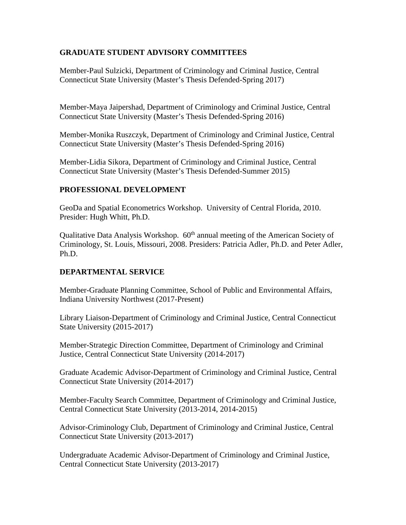## **GRADUATE STUDENT ADVISORY COMMITTEES**

Member-Paul Sulzicki, Department of Criminology and Criminal Justice, Central Connecticut State University (Master's Thesis Defended-Spring 2017)

Member-Maya Jaipershad, Department of Criminology and Criminal Justice, Central Connecticut State University (Master's Thesis Defended-Spring 2016)

Member-Monika Ruszczyk, Department of Criminology and Criminal Justice, Central Connecticut State University (Master's Thesis Defended-Spring 2016)

Member-Lidia Sikora, Department of Criminology and Criminal Justice, Central Connecticut State University (Master's Thesis Defended-Summer 2015)

### **PROFESSIONAL DEVELOPMENT**

GeoDa and Spatial Econometrics Workshop. University of Central Florida, 2010. Presider: Hugh Whitt, Ph.D.

Qualitative Data Analysis Workshop. 60<sup>th</sup> annual meeting of the American Society of Criminology, St. Louis, Missouri, 2008. Presiders: Patricia Adler, Ph.D. and Peter Adler, Ph.D.

## **DEPARTMENTAL SERVICE**

Member-Graduate Planning Committee, School of Public and Environmental Affairs, Indiana University Northwest (2017-Present)

Library Liaison-Department of Criminology and Criminal Justice, Central Connecticut State University (2015-2017)

Member-Strategic Direction Committee, Department of Criminology and Criminal Justice, Central Connecticut State University (2014-2017)

Graduate Academic Advisor-Department of Criminology and Criminal Justice, Central Connecticut State University (2014-2017)

Member-Faculty Search Committee, Department of Criminology and Criminal Justice, Central Connecticut State University (2013-2014, 2014-2015)

Advisor-Criminology Club, Department of Criminology and Criminal Justice, Central Connecticut State University (2013-2017)

Undergraduate Academic Advisor-Department of Criminology and Criminal Justice, Central Connecticut State University (2013-2017)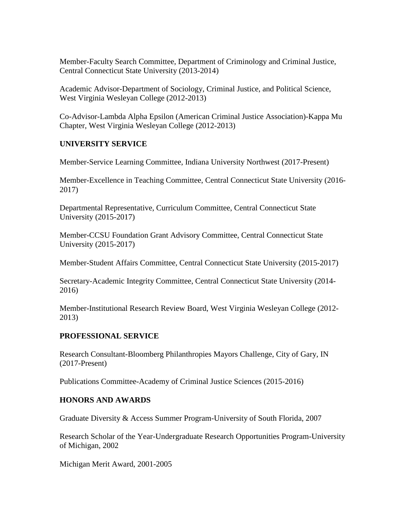Member-Faculty Search Committee, Department of Criminology and Criminal Justice, Central Connecticut State University (2013-2014)

Academic Advisor-Department of Sociology, Criminal Justice, and Political Science, West Virginia Wesleyan College (2012-2013)

Co-Advisor-Lambda Alpha Epsilon (American Criminal Justice Association)-Kappa Mu Chapter, West Virginia Wesleyan College (2012-2013)

### **UNIVERSITY SERVICE**

Member-Service Learning Committee, Indiana University Northwest (2017-Present)

Member-Excellence in Teaching Committee, Central Connecticut State University (2016- 2017)

Departmental Representative, Curriculum Committee, Central Connecticut State University (2015-2017)

Member-CCSU Foundation Grant Advisory Committee, Central Connecticut State University (2015-2017)

Member-Student Affairs Committee, Central Connecticut State University (2015-2017)

Secretary-Academic Integrity Committee, Central Connecticut State University (2014- 2016)

Member-Institutional Research Review Board, West Virginia Wesleyan College (2012- 2013)

## **PROFESSIONAL SERVICE**

Research Consultant-Bloomberg Philanthropies Mayors Challenge, City of Gary, IN (2017-Present)

Publications Committee-Academy of Criminal Justice Sciences (2015-2016)

#### **HONORS AND AWARDS**

Graduate Diversity & Access Summer Program-University of South Florida, 2007

Research Scholar of the Year-Undergraduate Research Opportunities Program-University of Michigan, 2002

Michigan Merit Award, 2001-2005